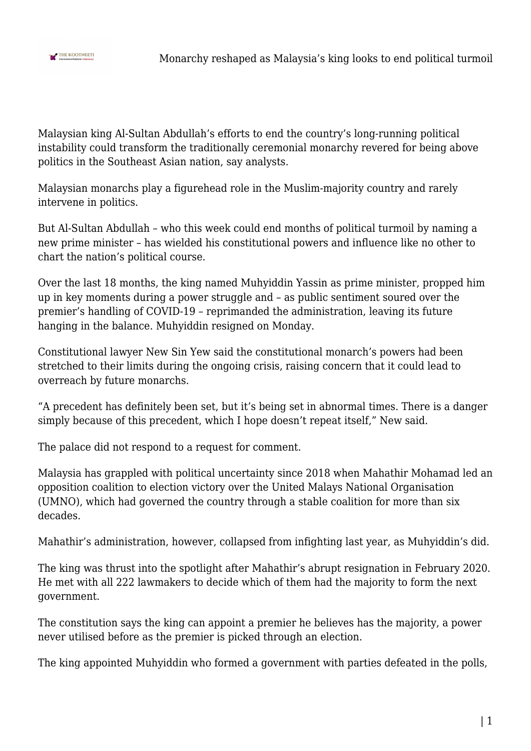

Malaysian king Al-Sultan Abdullah's efforts to end the country's long-running political instability could transform the traditionally ceremonial monarchy revered for being above politics in the Southeast Asian nation, say analysts.

Malaysian monarchs play a figurehead role in the Muslim-majority country and rarely intervene in politics.

But Al-Sultan Abdullah – who this week could end months of political turmoil by naming a new prime minister – has wielded his constitutional powers and influence like no other to chart the nation's political course.

Over the last 18 months, the king named Muhyiddin Yassin as prime minister, propped him up in key moments during a power struggle and – as public sentiment soured over the premier's handling of COVID-19 – reprimanded the administration, leaving its future hanging in the balance. Muhyiddin resigned on Monday.

Constitutional lawyer New Sin Yew said the constitutional monarch's powers had been stretched to their limits during the ongoing crisis, raising concern that it could lead to overreach by future monarchs.

"A precedent has definitely been set, but it's being set in abnormal times. There is a danger simply because of this precedent, which I hope doesn't repeat itself," New said.

The palace did not respond to a request for comment.

Malaysia has grappled with political uncertainty since 2018 when Mahathir Mohamad led an opposition coalition to election victory over the United Malays National Organisation (UMNO), which had governed the country through a stable coalition for more than six decades.

Mahathir's administration, however, collapsed from infighting last year, as Muhyiddin's did.

The king was thrust into the spotlight after Mahathir's abrupt resignation in February 2020. He met with all 222 lawmakers to decide which of them had the majority to form the next government.

The constitution says the king can appoint a premier he believes has the majority, a power never utilised before as the premier is picked through an election.

The king appointed Muhyiddin who formed a government with parties defeated in the polls,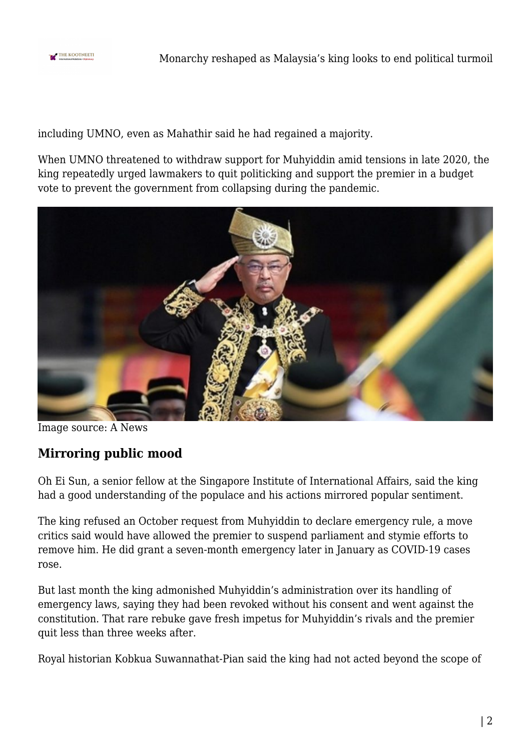

including UMNO, even as Mahathir said he had regained a majority.

When UMNO threatened to withdraw support for Muhyiddin amid tensions in late 2020, the king repeatedly urged lawmakers to quit politicking and support the premier in a budget vote to prevent the government from collapsing during the pandemic.



Image source: A News

## **Mirroring public mood**

Oh Ei Sun, a senior fellow at the Singapore Institute of International Affairs, said the king had a good understanding of the populace and his actions mirrored popular sentiment.

The king refused an October request from Muhyiddin to declare emergency rule, a move critics said would have allowed the premier to suspend parliament and stymie efforts to remove him. He did grant a seven-month emergency later in January as COVID-19 cases rose.

But last month the king admonished Muhyiddin's administration over its handling of emergency laws, saying they had been revoked without his consent and went against the constitution. That rare rebuke gave fresh impetus for Muhyiddin's rivals and the premier quit less than three weeks after.

Royal historian Kobkua Suwannathat-Pian said the king had not acted beyond the scope of